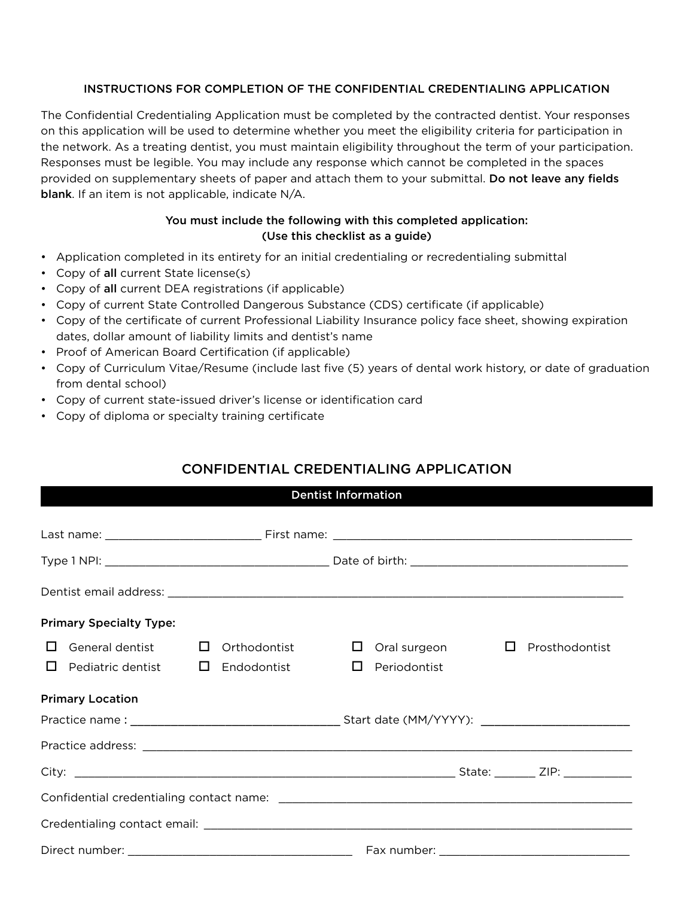## INSTRUCTIONS FOR COMPLETION OF THE CONFIDENTIAL CREDENTIALING APPLICATION

The Confidential Credentialing Application must be completed by the contracted dentist. Your responses on this application will be used to determine whether you meet the eligibility criteria for participation in the network. As a treating dentist, you must maintain eligibility throughout the term of your participation. Responses must be legible. You may include any response which cannot be completed in the spaces provided on supplementary sheets of paper and attach them to your submittal. Do not leave any fields blank. If an item is not applicable, indicate N/A.

## You must include the following with this completed application: (Use this checklist as a guide)

- Application completed in its entirety for an initial credentialing or recredentialing submittal
- Copy of all current State license(s)
- Copy of all current DEA registrations (if applicable)
- Copy of current State Controlled Dangerous Substance (CDS) certificate (if applicable)
- Copy of the certificate of current Professional Liability Insurance policy face sheet, showing expiration dates, dollar amount of liability limits and dentist's name
- Proof of American Board Certification (if applicable)
- Copy of Curriculum Vitae/Resume (include last five (5) years of dental work history, or date of graduation from dental school)
- Copy of current state-issued driver's license or identification card
- Copy of diploma or specialty training certificate

## CONFIDENTIAL CREDENTIALING APPLICATION

| <b>Dentist Information</b> |  |
|----------------------------|--|
|                            |  |
|                            |  |

| <b>Primary Specialty Type:</b>           |              |                        |                     |  |
|------------------------------------------|--------------|------------------------|---------------------|--|
| General dentist $\Box$<br>$\Box$         | Orthodontist | Oral surgeon<br>⊔      | Prosthodontist<br>⊔ |  |
| Pediatric dentist $\Box$<br>$\mathbf{L}$ | Endodontist  | Periodontist<br>$\Box$ |                     |  |
| <b>Primary Location</b>                  |              |                        |                     |  |
|                                          |              |                        |                     |  |
|                                          |              |                        |                     |  |
|                                          |              |                        |                     |  |
|                                          |              |                        |                     |  |
|                                          |              |                        |                     |  |
|                                          |              |                        |                     |  |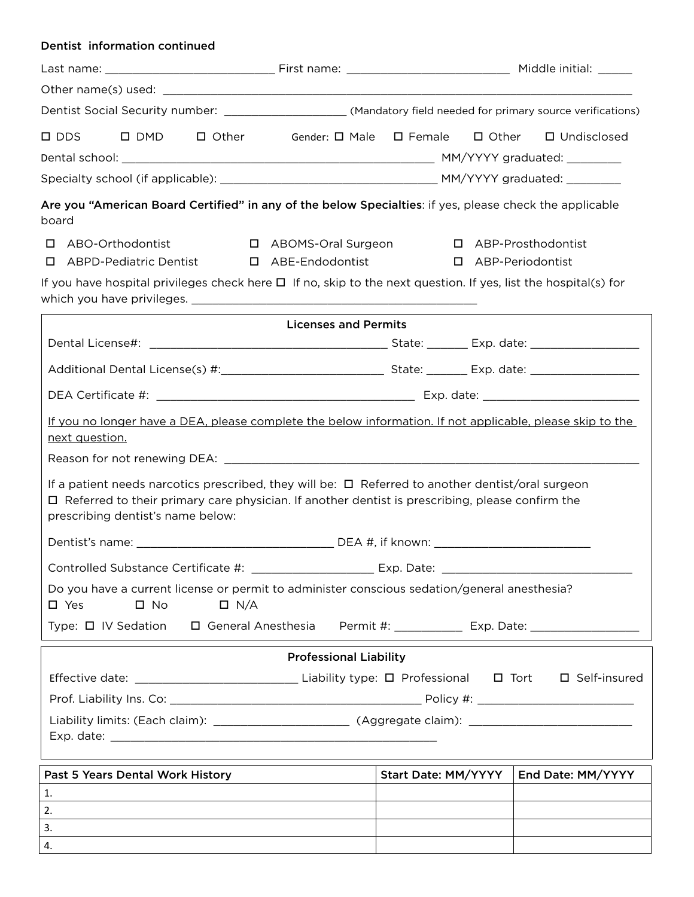| Dentist information continued                                                                                                                                                                                                                                                                                      |                                 |                     |                      |                   |
|--------------------------------------------------------------------------------------------------------------------------------------------------------------------------------------------------------------------------------------------------------------------------------------------------------------------|---------------------------------|---------------------|----------------------|-------------------|
|                                                                                                                                                                                                                                                                                                                    |                                 |                     |                      |                   |
|                                                                                                                                                                                                                                                                                                                    |                                 |                     |                      |                   |
| Dentist Social Security number: _______________________(Mandatory field needed for primary source verifications)                                                                                                                                                                                                   |                                 |                     |                      |                   |
| $\Box$ Other<br>$\square$ DDS<br>$\square$ DMD                                                                                                                                                                                                                                                                     | Gender: □ Male □ Female □ Other |                     |                      | □ Undisclosed     |
|                                                                                                                                                                                                                                                                                                                    |                                 |                     |                      |                   |
|                                                                                                                                                                                                                                                                                                                    |                                 |                     |                      |                   |
| Are you "American Board Certified" in any of the below Specialties: if yes, please check the applicable<br>board                                                                                                                                                                                                   |                                 |                     |                      |                   |
| □ ABO-Orthodontist                                                                                                                                                                                                                                                                                                 | □ ABOMS-Oral Surgeon            |                     | □ ABP-Prosthodontist |                   |
| <b>ABPD-Pediatric Dentist</b>                                                                                                                                                                                                                                                                                      | □ ABE-Endodontist               |                     | □ ABP-Periodontist   |                   |
| If you have hospital privileges check here $\Box$ If no, skip to the next question. If yes, list the hospital(s) for                                                                                                                                                                                               |                                 |                     |                      |                   |
|                                                                                                                                                                                                                                                                                                                    | <b>Licenses and Permits</b>     |                     |                      |                   |
|                                                                                                                                                                                                                                                                                                                    |                                 |                     |                      |                   |
|                                                                                                                                                                                                                                                                                                                    |                                 |                     |                      |                   |
|                                                                                                                                                                                                                                                                                                                    |                                 |                     |                      |                   |
| If you no longer have a DEA, please complete the below information. If not applicable, please skip to the<br>next question.                                                                                                                                                                                        |                                 |                     |                      |                   |
|                                                                                                                                                                                                                                                                                                                    |                                 |                     |                      |                   |
| If a patient needs narcotics prescribed, they will be: $\Box$ Referred to another dentist/oral surgeon<br>$\Box$ Referred to their primary care physician. If another dentist is prescribing, please confirm the<br>prescribing dentist's name below:                                                              |                                 |                     |                      |                   |
| Dentist's name:                                                                                                                                                                                                                                                                                                    |                                 | DEA #, if known:    |                      |                   |
|                                                                                                                                                                                                                                                                                                                    |                                 |                     |                      |                   |
| Do you have a current license or permit to administer conscious sedation/general anesthesia?<br>$\Box$ N/A<br>$\square$ Yes<br>$\square$ No                                                                                                                                                                        |                                 |                     |                      |                   |
| Type: $\Box$ IV Sedation $\Box$ General Anesthesia Permit #: ___________ Exp. Date: ___________________                                                                                                                                                                                                            |                                 |                     |                      |                   |
|                                                                                                                                                                                                                                                                                                                    | <b>Professional Liability</b>   |                     |                      |                   |
|                                                                                                                                                                                                                                                                                                                    |                                 |                     |                      |                   |
|                                                                                                                                                                                                                                                                                                                    |                                 |                     |                      |                   |
|                                                                                                                                                                                                                                                                                                                    |                                 |                     |                      |                   |
|                                                                                                                                                                                                                                                                                                                    |                                 |                     |                      |                   |
|                                                                                                                                                                                                                                                                                                                    |                                 |                     |                      |                   |
| Past 5 Years Dental Work History<br>1.                                                                                                                                                                                                                                                                             |                                 | Start Date: MM/YYYY |                      | End Date: MM/YYYY |
| 2.                                                                                                                                                                                                                                                                                                                 |                                 |                     |                      |                   |
| <u> 1989 - Johann Stein, mars an deus an deus Amerikaansk kommunister (</u><br>3.<br>the control of the control of the control of the control of the control of the control of the control of the control of the control of the control of the control of the control of the control of the control of the control |                                 |                     |                      |                   |
| 4.                                                                                                                                                                                                                                                                                                                 |                                 |                     |                      |                   |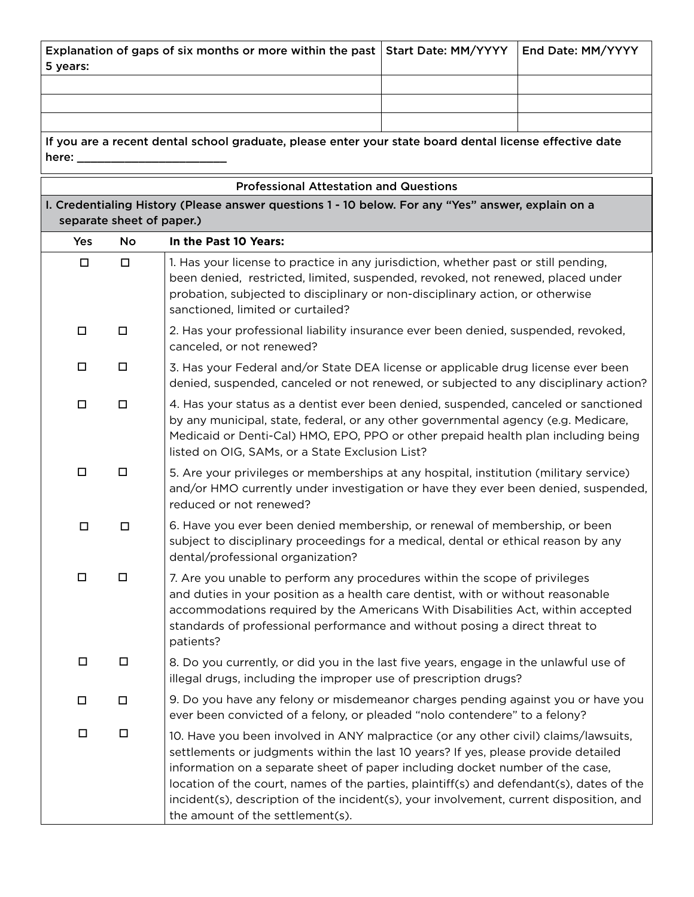| 5 years:                   |                                                                                                         | Explanation of gaps of six months or more within the past   Start Date: MM/YYYY                                                                                                                                                                                                                                                                                                                                                                                                       |  | End Date: MM/YYYY |
|----------------------------|---------------------------------------------------------------------------------------------------------|---------------------------------------------------------------------------------------------------------------------------------------------------------------------------------------------------------------------------------------------------------------------------------------------------------------------------------------------------------------------------------------------------------------------------------------------------------------------------------------|--|-------------------|
|                            |                                                                                                         |                                                                                                                                                                                                                                                                                                                                                                                                                                                                                       |  |                   |
|                            |                                                                                                         |                                                                                                                                                                                                                                                                                                                                                                                                                                                                                       |  |                   |
| here: $\rule{1em}{0.15mm}$ | If you are a recent dental school graduate, please enter your state board dental license effective date |                                                                                                                                                                                                                                                                                                                                                                                                                                                                                       |  |                   |
|                            |                                                                                                         | <b>Professional Attestation and Questions</b>                                                                                                                                                                                                                                                                                                                                                                                                                                         |  |                   |
|                            | separate sheet of paper.)                                                                               | I. Credentialing History (Please answer questions 1 - 10 below. For any "Yes" answer, explain on a                                                                                                                                                                                                                                                                                                                                                                                    |  |                   |
| Yes                        | <b>No</b>                                                                                               | In the Past 10 Years:                                                                                                                                                                                                                                                                                                                                                                                                                                                                 |  |                   |
| $\Box$                     | $\Box$                                                                                                  | 1. Has your license to practice in any jurisdiction, whether past or still pending,<br>been denied, restricted, limited, suspended, revoked, not renewed, placed under<br>probation, subjected to disciplinary or non-disciplinary action, or otherwise<br>sanctioned, limited or curtailed?                                                                                                                                                                                          |  |                   |
| $\Box$                     | $\Box$                                                                                                  | 2. Has your professional liability insurance ever been denied, suspended, revoked,<br>canceled, or not renewed?                                                                                                                                                                                                                                                                                                                                                                       |  |                   |
| □                          | □                                                                                                       | 3. Has your Federal and/or State DEA license or applicable drug license ever been<br>denied, suspended, canceled or not renewed, or subjected to any disciplinary action?                                                                                                                                                                                                                                                                                                             |  |                   |
| $\Box$                     | $\Box$                                                                                                  | 4. Has your status as a dentist ever been denied, suspended, canceled or sanctioned<br>by any municipal, state, federal, or any other governmental agency (e.g. Medicare,<br>Medicaid or Denti-Cal) HMO, EPO, PPO or other prepaid health plan including being<br>listed on OIG, SAMs, or a State Exclusion List?                                                                                                                                                                     |  |                   |
| $\Box$                     | $\Box$                                                                                                  | 5. Are your privileges or memberships at any hospital, institution (military service)<br>and/or HMO currently under investigation or have they ever been denied, suspended,<br>reduced or not renewed?                                                                                                                                                                                                                                                                                |  |                   |
| $\Box$                     | $\Box$                                                                                                  | 6. Have you ever been denied membership, or renewal of membership, or been<br>subject to disciplinary proceedings for a medical, dental or ethical reason by any<br>dental/professional organization?                                                                                                                                                                                                                                                                                 |  |                   |
| □                          | □                                                                                                       | 7. Are you unable to perform any procedures within the scope of privileges<br>and duties in your position as a health care dentist, with or without reasonable<br>accommodations required by the Americans With Disabilities Act, within accepted<br>standards of professional performance and without posing a direct threat to<br>patients?                                                                                                                                         |  |                   |
| $\Box$                     | $\Box$                                                                                                  | 8. Do you currently, or did you in the last five years, engage in the unlawful use of<br>illegal drugs, including the improper use of prescription drugs?                                                                                                                                                                                                                                                                                                                             |  |                   |
| $\Box$                     | $\Box$                                                                                                  | 9. Do you have any felony or misdemeanor charges pending against you or have you<br>ever been convicted of a felony, or pleaded "nolo contendere" to a felony?                                                                                                                                                                                                                                                                                                                        |  |                   |
| $\Box$                     | $\Box$                                                                                                  | 10. Have you been involved in ANY malpractice (or any other civil) claims/lawsuits,<br>settlements or judgments within the last 10 years? If yes, please provide detailed<br>information on a separate sheet of paper including docket number of the case,<br>location of the court, names of the parties, plaintiff(s) and defendant(s), dates of the<br>incident(s), description of the incident(s), your involvement, current disposition, and<br>the amount of the settlement(s). |  |                   |